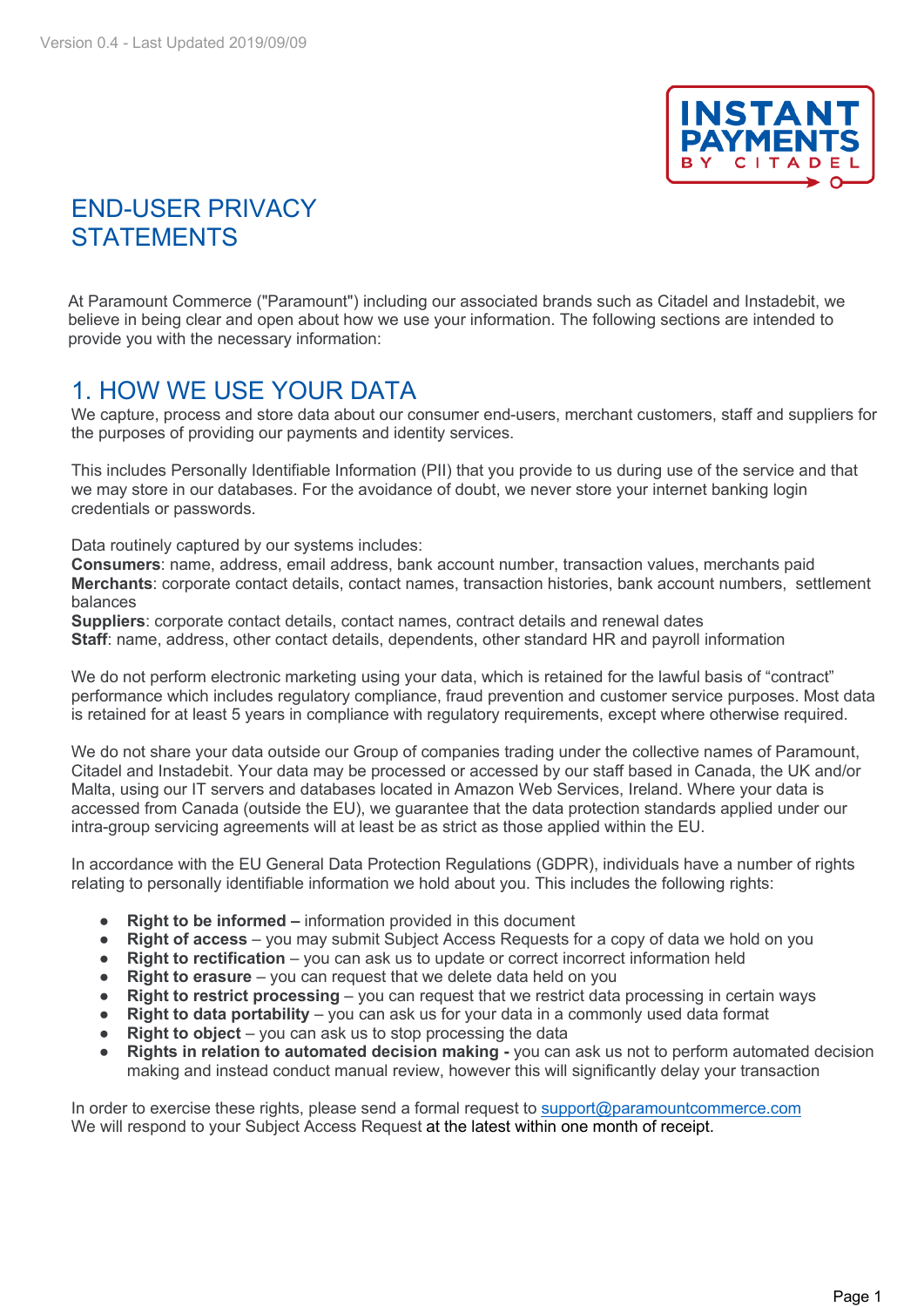

## END-USER PRIVACY **STATEMENTS**

At Paramount Commerce ("Paramount") including our associated brands such as Citadel and Instadebit, we believe in being clear and open about how we use your information. The following sections are intended to provide you with the necessary information:

#### 1. HOW WE USE YOUR DATA

We capture, process and store data about our consumer end-users, merchant customers, staff and suppliers for the purposes of providing our payments and identity services.

This includes Personally Identifiable Information (PII) that you provide to us during use of the service and that we may store in our databases. For the avoidance of doubt, we never store your internet banking login credentials or passwords.

Data routinely captured by our systems includes:

**Consumers**: name, address, email address, bank account number, transaction values, merchants paid **Merchants**: corporate contact details, contact names, transaction histories, bank account numbers, settlement balances

**Suppliers**: corporate contact details, contact names, contract details and renewal dates **Staff**: name, address, other contact details, dependents, other standard HR and payroll information

We do not perform electronic marketing using your data, which is retained for the lawful basis of "contract" performance which includes regulatory compliance, fraud prevention and customer service purposes. Most data is retained for at least 5 years in compliance with regulatory requirements, except where otherwise required.

We do not share your data outside our Group of companies trading under the collective names of Paramount, Citadel and Instadebit. Your data may be processed or accessed by our staff based in Canada, the UK and/or Malta, using our IT servers and databases located in Amazon Web Services, Ireland. Where your data is accessed from Canada (outside the EU), we guarantee that the data protection standards applied under our intra-group servicing agreements will at least be as strict as those applied within the EU.

In accordance with the EU General Data Protection Regulations (GDPR), individuals have a number of rights relating to personally identifiable information we hold about you. This includes the following rights:

- **Right to be informed –** information provided in this document
- **Right of access** you may submit Subject Access Requests for a copy of data we hold on you
- **Right to rectification** you can ask us to update or correct incorrect information held
- **Right to erasure** you can request that we delete data held on you
- **Right to restrict processing** you can request that we restrict data processing in certain ways
- **Right to data portability** you can ask us for your data in a commonly used data format
- **Right to object** you can ask us to stop processing the data
- **Rights in relation to automated decision making -** you can ask us not to perform automated decision making and instead conduct manual review, however this will significantly delay your transaction

In order to exercise these rights, please send a formal request to support@paramountcommerce.com We will respond to your Subject Access Request at the latest within one month of receipt.